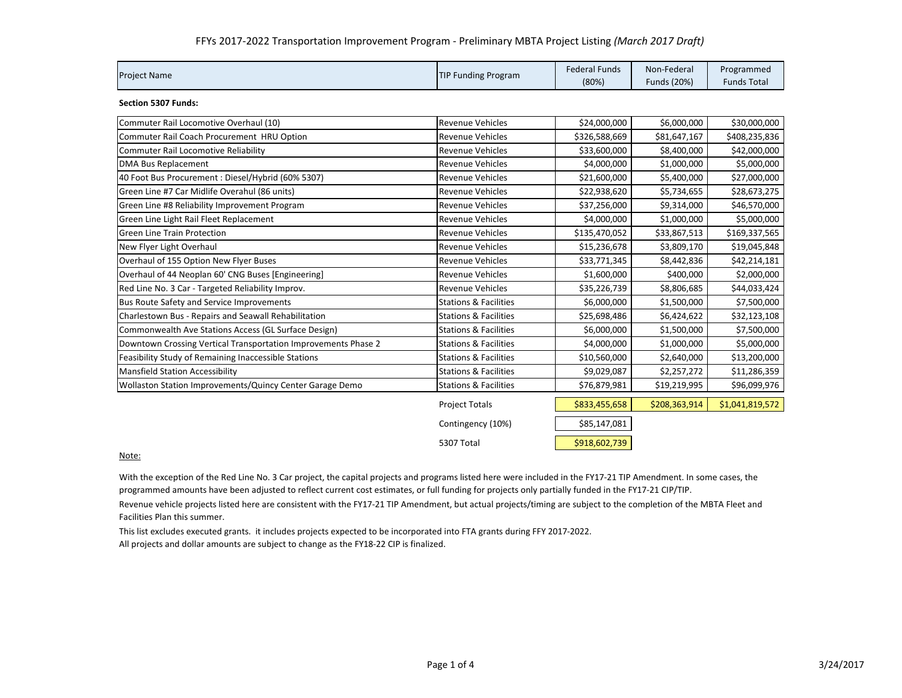| <b>Project Name</b> | <b>TIP Funding Program</b> | Federal Funds | Non-Federal | Programmed         |
|---------------------|----------------------------|---------------|-------------|--------------------|
|                     |                            | (80%)         | Funds (20%) | <b>Funds Total</b> |

**Section 5307 Funds:**

| Commuter Rail Locomotive Overhaul (10)                         | <b>Revenue Vehicles</b>          | \$24,000,000  | \$6,000,000   | \$30,000,000    |
|----------------------------------------------------------------|----------------------------------|---------------|---------------|-----------------|
| Commuter Rail Coach Procurement HRU Option                     | <b>Revenue Vehicles</b>          | \$326,588,669 | \$81,647,167  | \$408,235,836   |
| Commuter Rail Locomotive Reliability                           | <b>Revenue Vehicles</b>          | \$33,600,000  | \$8,400,000   | \$42,000,000    |
| DMA Bus Replacement                                            | <b>Revenue Vehicles</b>          | \$4,000,000   | \$1,000,000   | \$5,000,000     |
| 40 Foot Bus Procurement : Diesel/Hybrid (60% 5307)             | <b>Revenue Vehicles</b>          | \$21,600,000  | \$5,400,000   | \$27,000,000    |
| Green Line #7 Car Midlife Overahul (86 units)                  | <b>Revenue Vehicles</b>          | \$22,938,620  | \$5,734,655   | \$28,673,275    |
| Green Line #8 Reliability Improvement Program                  | <b>Revenue Vehicles</b>          | \$37,256,000  | \$9,314,000   | \$46,570,000    |
| Green Line Light Rail Fleet Replacement                        | <b>Revenue Vehicles</b>          | \$4,000,000   | \$1,000,000   | \$5,000,000     |
| <b>Green Line Train Protection</b>                             | <b>Revenue Vehicles</b>          | \$135,470,052 | \$33,867,513  | \$169,337,565   |
| New Flyer Light Overhaul                                       | <b>Revenue Vehicles</b>          | \$15,236,678  | \$3,809,170   | \$19,045,848    |
| Overhaul of 155 Option New Flyer Buses                         | <b>Revenue Vehicles</b>          | \$33,771,345  | \$8,442,836   | \$42,214,181    |
| Overhaul of 44 Neoplan 60' CNG Buses [Engineering]             | <b>Revenue Vehicles</b>          | \$1,600,000   | \$400,000     | \$2,000,000     |
| Red Line No. 3 Car - Targeted Reliability Improv.              | <b>Revenue Vehicles</b>          | \$35,226,739  | \$8,806,685   | \$44,033,424    |
| Bus Route Safety and Service Improvements                      | <b>Stations &amp; Facilities</b> | \$6,000,000   | \$1,500,000   | \$7,500,000     |
| Charlestown Bus - Repairs and Seawall Rehabilitation           | <b>Stations &amp; Facilities</b> | \$25,698,486  | \$6,424,622   | \$32,123,108    |
| Commonwealth Ave Stations Access (GL Surface Design)           | <b>Stations &amp; Facilities</b> | \$6,000,000   | \$1,500,000   | \$7,500,000     |
| Downtown Crossing Vertical Transportation Improvements Phase 2 | <b>Stations &amp; Facilities</b> | \$4,000,000   | \$1,000,000   | \$5,000,000     |
| Feasibility Study of Remaining Inaccessible Stations           | <b>Stations &amp; Facilities</b> | \$10,560,000  | \$2,640,000   | \$13,200,000    |
| <b>Mansfield Station Accessibility</b>                         | <b>Stations &amp; Facilities</b> | \$9,029,087   | \$2,257,272   | \$11,286,359    |
| Wollaston Station Improvements/Quincy Center Garage Demo       | <b>Stations &amp; Facilities</b> | \$76,879,981  | \$19,219,995  | \$96,099,976    |
|                                                                | <b>Project Totals</b>            | \$833,455,658 | \$208,363,914 | \$1,041,819,572 |
|                                                                | Contingency (10%)                | \$85,147,081  |               |                 |
|                                                                | 5307 Total                       | \$918,602,739 |               |                 |

## Note:

With the exception of the Red Line No. 3 Car project, the capital projects and programs listed here were included in the FY17‐21 TIP Amendment. In some cases, the programmed amounts have been adjusted to reflect current cost estimates, or full funding for projects only partially funded in the FY17‐21 CIP/TIP.

Revenue vehicle projects listed here are consistent with the FY17‐21 TIP Amendment, but actual projects/timing are subject to the completion of the MBTA Fleet and Facilities Plan this summer.

This list excludes executed grants. it includes projects expected to be incorporated into FTA grants during FFY 2017‐2022.

All projects and dollar amounts are subject to change as the FY18‐22 CIP is finalized.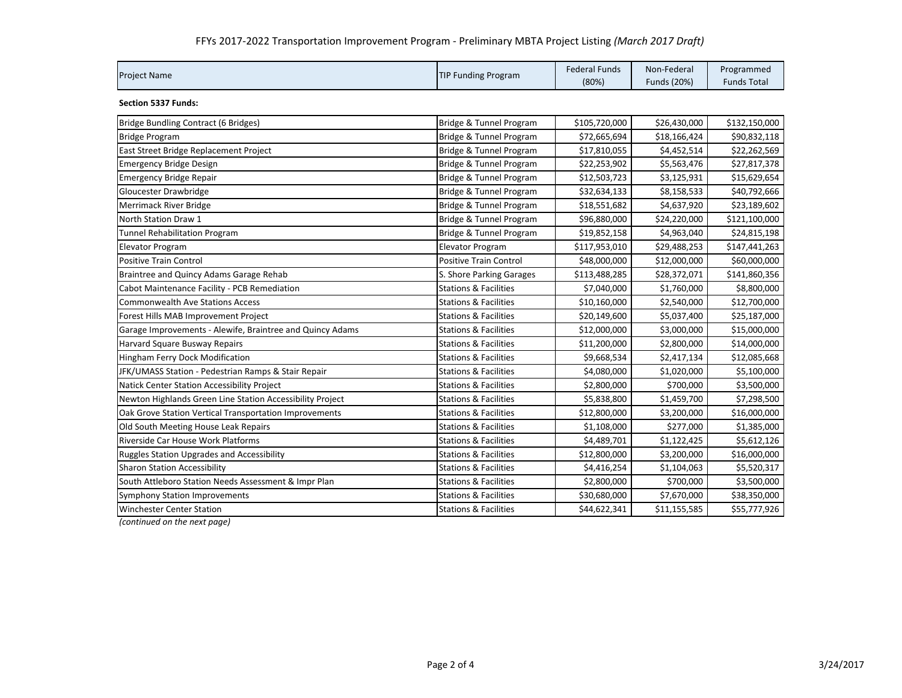## FFYs 2017‐2022 Transportation Improvement Program ‐ Preliminary MBTA Project Listing *(March 2017 Draft)*

| <b>Project Name</b> | <b>TIP Funding Program</b> | <b>Federal Funds</b> | Non-Federal | Programmed         |
|---------------------|----------------------------|----------------------|-------------|--------------------|
|                     |                            | (80%)                | Funds (20%) | <b>Funds Total</b> |

**Section 5337 Funds:**

| Bridge Bundling Contract (6 Bridges)                      | Bridge & Tunnel Program          | \$105,720,000 | \$26,430,000 | \$132,150,000 |
|-----------------------------------------------------------|----------------------------------|---------------|--------------|---------------|
| <b>Bridge Program</b>                                     | Bridge & Tunnel Program          | \$72,665,694  | \$18,166,424 | \$90,832,118  |
| East Street Bridge Replacement Project                    | Bridge & Tunnel Program          | \$17,810,055  | \$4,452,514  | \$22,262,569  |
| <b>Emergency Bridge Design</b>                            | Bridge & Tunnel Program          | \$22,253,902  | \$5,563,476  | \$27,817,378  |
| <b>Emergency Bridge Repair</b>                            | Bridge & Tunnel Program          | \$12,503,723  | \$3,125,931  | \$15,629,654  |
| Gloucester Drawbridge                                     | Bridge & Tunnel Program          | \$32,634,133  | \$8,158,533  | \$40,792,666  |
| <b>Merrimack River Bridge</b>                             | Bridge & Tunnel Program          | \$18,551,682  | \$4,637,920  | \$23,189,602  |
| North Station Draw 1                                      | Bridge & Tunnel Program          | \$96,880,000  | \$24,220,000 | \$121,100,000 |
| <b>Tunnel Rehabilitation Program</b>                      | Bridge & Tunnel Program          | \$19,852,158  | \$4,963,040  | \$24,815,198  |
| <b>Elevator Program</b>                                   | <b>Elevator Program</b>          | \$117,953,010 | \$29,488,253 | \$147,441,263 |
| <b>Positive Train Control</b>                             | <b>Positive Train Control</b>    | \$48,000,000  | \$12,000,000 | \$60,000,000  |
| Braintree and Quincy Adams Garage Rehab                   | S. Shore Parking Garages         | \$113,488,285 | \$28,372,071 | \$141,860,356 |
| Cabot Maintenance Facility - PCB Remediation              | <b>Stations &amp; Facilities</b> | \$7,040,000   | \$1,760,000  | \$8,800,000   |
| <b>Commonwealth Ave Stations Access</b>                   | <b>Stations &amp; Facilities</b> | \$10,160,000  | \$2,540,000  | \$12,700,000  |
| Forest Hills MAB Improvement Project                      | <b>Stations &amp; Facilities</b> | \$20,149,600  | \$5,037,400  | \$25,187,000  |
| Garage Improvements - Alewife, Braintree and Quincy Adams | <b>Stations &amp; Facilities</b> | \$12,000,000  | \$3,000,000  | \$15,000,000  |
| Harvard Square Busway Repairs                             | <b>Stations &amp; Facilities</b> | \$11,200,000  | \$2,800,000  | \$14,000,000  |
| Hingham Ferry Dock Modification                           | <b>Stations &amp; Facilities</b> | \$9,668,534   | \$2,417,134  | \$12,085,668  |
| JFK/UMASS Station - Pedestrian Ramps & Stair Repair       | <b>Stations &amp; Facilities</b> | \$4,080,000   | \$1,020,000  | \$5,100,000   |
| Natick Center Station Accessibility Project               | <b>Stations &amp; Facilities</b> | \$2,800,000   | \$700,000    | \$3,500,000   |
| Newton Highlands Green Line Station Accessibility Project | <b>Stations &amp; Facilities</b> | \$5,838,800   | \$1,459,700  | \$7,298,500   |
| Oak Grove Station Vertical Transportation Improvements    | <b>Stations &amp; Facilities</b> | \$12,800,000  | \$3,200,000  | \$16,000,000  |
| Old South Meeting House Leak Repairs                      | <b>Stations &amp; Facilities</b> | \$1,108,000   | \$277,000    | \$1,385,000   |
| Riverside Car House Work Platforms                        | <b>Stations &amp; Facilities</b> | \$4,489,701   | \$1,122,425  | \$5,612,126   |
| <b>Ruggles Station Upgrades and Accessibility</b>         | <b>Stations &amp; Facilities</b> | \$12,800,000  | \$3,200,000  | \$16,000,000  |
| <b>Sharon Station Accessibility</b>                       | <b>Stations &amp; Facilities</b> | \$4,416,254   | \$1,104,063  | \$5,520,317   |
| South Attleboro Station Needs Assessment & Impr Plan      | <b>Stations &amp; Facilities</b> | \$2,800,000   | \$700,000    | \$3,500,000   |
| <b>Symphony Station Improvements</b>                      | <b>Stations &amp; Facilities</b> | \$30,680,000  | \$7,670,000  | \$38,350,000  |
| <b>Winchester Center Station</b>                          | <b>Stations &amp; Facilities</b> | \$44,622,341  | \$11,155,585 | \$55,777,926  |
|                                                           |                                  |               |              |               |

*(continued on the next page)*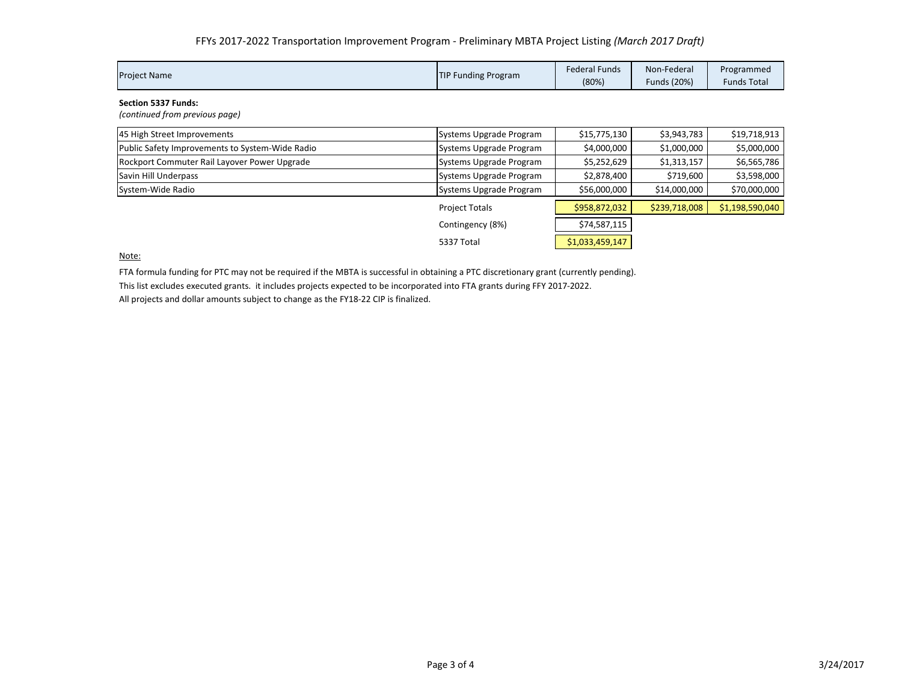|                     | <b>TIP Funding Program</b> | Federal Funds | Non-Federal | Programmed         |
|---------------------|----------------------------|---------------|-------------|--------------------|
| <b>Project Name</b> |                            | (80%)         | Funds (20%) | <b>Funds Total</b> |

**Section 5337 Funds:**

*(continued from previous page)*

| 45 High Street Improvements                     | Systems Upgrade Program | \$15,775,130    | \$3,943,783   | \$19,718,913    |
|-------------------------------------------------|-------------------------|-----------------|---------------|-----------------|
| Public Safety Improvements to System-Wide Radio | Systems Upgrade Program | \$4,000,000     | \$1,000,000   | \$5,000,000     |
| Rockport Commuter Rail Layover Power Upgrade    | Systems Upgrade Program | \$5,252,629     | \$1,313,157   | \$6,565,786     |
| Savin Hill Underpass                            | Systems Upgrade Program | \$2,878,400     | \$719,600     | \$3,598,000     |
| System-Wide Radio                               | Systems Upgrade Program | \$56,000,000    | \$14,000,000  | \$70,000,000    |
|                                                 | <b>Project Totals</b>   | \$958,872,032   | \$239,718,008 | \$1,198,590,040 |
|                                                 | Contingency (8%)        | \$74,587,115    |               |                 |
|                                                 | 5337 Total              | \$1,033,459,147 |               |                 |

Note:

FTA formula funding for PTC may not be required if the MBTA is successful in obtaining <sup>a</sup> PTC discretionary grant (currently pending).

This list excludes executed grants. it includes projects expected to be incorporated into FTA grants during FFY 2017‐2022. All projects and dollar amounts subject to change as the FY18‐22 CIP is finalized.